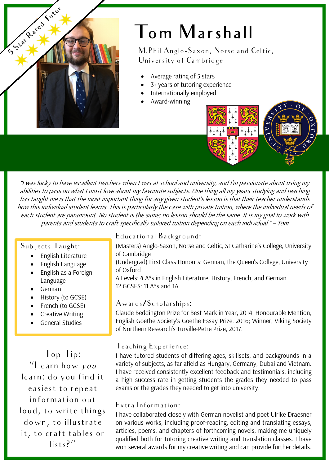

## Tom Marshall

M.Phil Anglo-Saxon, Norse and Celtic, University of Cambridge

- Average rating of 5 stars
- 3+ years of tutoring experience
- Internationally employed
- Award-winning

"I was lucky to have excellent teachers when I was at school and university, and I'm passionate about using my abilities to pass on what I most love about my favourite subjects. One thing all my years studying and teaching has taught me is that the most important thing for any given student's lesson is that their teacher understands how this individual student learns. This is particularly the case with private tuition, where the individual needs of each student are paramount. No student is the same; no lesson should be the same. It is my goal to work with parents and students to craft specifically tailored tuition depending on each individual." – Tom

#### Subjects Taught:

- English Literature
- English Language
- English as a Foreign Language
- German
- History (to GCSE)
- French (to GCSE)
- Creative Writing
- General Studies

Top Tip: "Learn how you learn: do you find it easiest to repeat information out loud, to write things down, to illustrate it, to craft tables or lists?"

#### Educational Background:

- (Masters) Anglo-Saxon, Norse and Celtic, St Catharine's College, University of Cambridge
- (Undergrad) First Class Honours: German, the Queen's College, University of Oxford
- A Levels: 4 A\*s in English Literature, History, French, and German 12 GCSES: 11 A\*s and 1A

#### Awards/Scholarships:

Claude Beddington Prize for Best Mark in Year, 2014; Honourable Mention, English Goethe Society's Goethe Essay Prize, 2016; Winner, Viking Society of Northern Research's Turville-Petre Prize, 2017.

#### Teaching Experience:

I have tutored students of differing ages, skillsets, and backgrounds in a variety of subjects, as far afield as Hungary, Germany, Dubai and Vietnam. I have received consistently excellent feedback and testimonials, including a high success rate in getting students the grades they needed to pass exams or the grades they needed to get into university.

#### Extra Information:

I have collaborated closely with German novelist and poet Ulrike Draesner on various works, including proof-reading, editing and translating essays, articles, poems, and chapters of forthcoming novels, making me uniquely qualified both for tutoring creative writing and translation classes. I have won several awards for my creative writing and can provide further details.